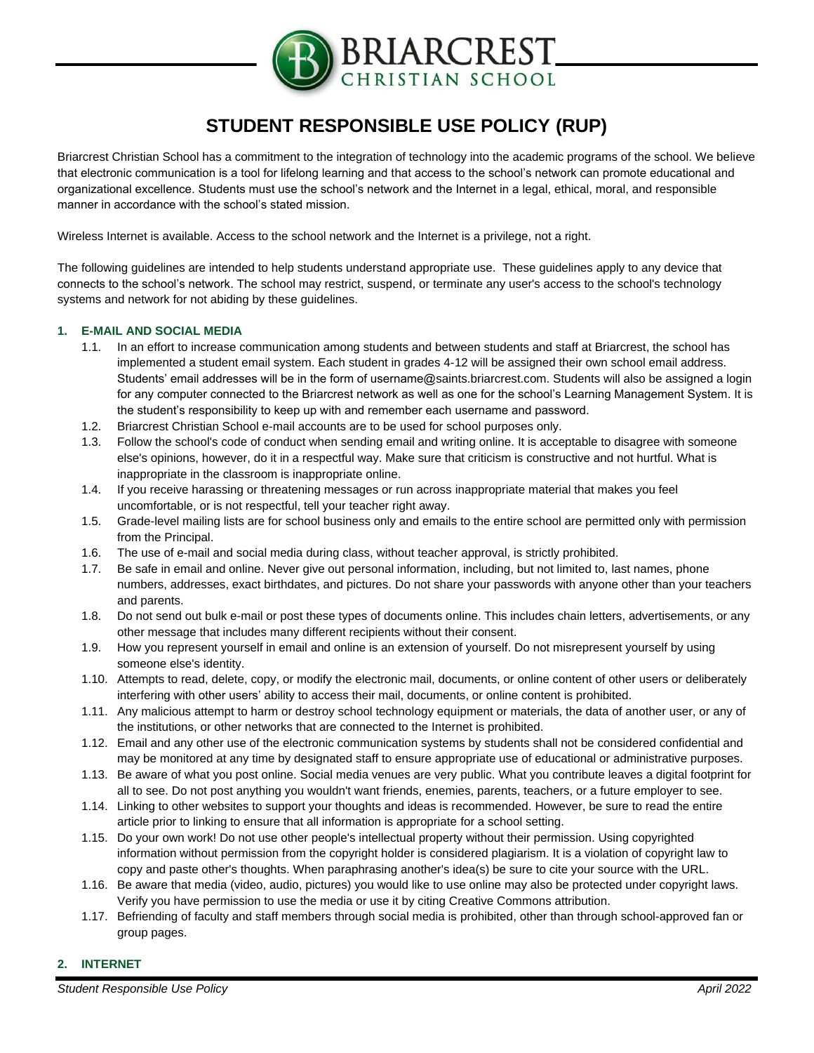

# **STUDENT RESPONSIBLE USE POLICY (RUP)**

Briarcrest Christian School has a commitment to the integration of technology into the academic programs of the school. We believe that electronic communication is a tool for lifelong learning and that access to the school's network can promote educational and organizational excellence. Students must use the school's network and the Internet in a legal, ethical, moral, and responsible manner in accordance with the school's stated mission.

Wireless Internet is available. Access to the school network and the Internet is a privilege, not a right.

The following guidelines are intended to help students understand appropriate use. These guidelines apply to any device that connects to the school's network. The school may restrict, suspend, or terminate any user's access to the school's technology systems and network for not abiding by these guidelines.

### **1. E-MAIL AND SOCIAL MEDIA**

- 1.1. In an effort to increase communication among students and between students and staff at Briarcrest, the school has implemented a student email system. Each student in grades 4-12 will be assigned their own school email address. Students' email addresses will be in the form of username@saints.briarcrest.com. Students will also be assigned a login for any computer connected to the Briarcrest network as well as one for the school's Learning Management System. It is the student's responsibility to keep up with and remember each username and password.
- 1.2. Briarcrest Christian School e-mail accounts are to be used for school purposes only.
- 1.3. Follow the school's code of conduct when sending email and writing online. It is acceptable to disagree with someone else's opinions, however, do it in a respectful way. Make sure that criticism is constructive and not hurtful. What is inappropriate in the classroom is inappropriate online.
- 1.4. If you receive harassing or threatening messages or run across inappropriate material that makes you feel uncomfortable, or is not respectful, tell your teacher right away.
- 1.5. Grade-level mailing lists are for school business only and emails to the entire school are permitted only with permission from the Principal.
- 1.6. The use of e-mail and social media during class, without teacher approval, is strictly prohibited.
- 1.7. Be safe in email and online. Never give out personal information, including, but not limited to, last names, phone numbers, addresses, exact birthdates, and pictures. Do not share your passwords with anyone other than your teachers and parents.
- 1.8. Do not send out bulk e-mail or post these types of documents online. This includes chain letters, advertisements, or any other message that includes many different recipients without their consent.
- 1.9. How you represent yourself in email and online is an extension of yourself. Do not misrepresent yourself by using someone else's identity.
- 1.10. Attempts to read, delete, copy, or modify the electronic mail, documents, or online content of other users or deliberately interfering with other users' ability to access their mail, documents, or online content is prohibited.
- 1.11. Any malicious attempt to harm or destroy school technology equipment or materials, the data of another user, or any of the institutions, or other networks that are connected to the Internet is prohibited.
- 1.12. Email and any other use of the electronic communication systems by students shall not be considered confidential and may be monitored at any time by designated staff to ensure appropriate use of educational or administrative purposes.
- 1.13. Be aware of what you post online. Social media venues are very public. What you contribute leaves a digital footprint for all to see. Do not post anything you wouldn't want friends, enemies, parents, teachers, or a future employer to see.
- 1.14. Linking to other websites to support your thoughts and ideas is recommended. However, be sure to read the entire article prior to linking to ensure that all information is appropriate for a school setting.
- 1.15. Do your own work! Do not use other people's intellectual property without their permission. Using copyrighted information without permission from the copyright holder is considered plagiarism. It is a violation of copyright law to copy and paste other's thoughts. When paraphrasing another's idea(s) be sure to cite your source with the URL.
- 1.16. Be aware that media (video, audio, pictures) you would like to use online may also be protected under copyright laws. Verify you have permission to use the media or use it by citing Creative Commons attribution.
- 1.17. Befriending of faculty and staff members through social media is prohibited, other than through school-approved fan or group pages.

#### **2. INTERNET**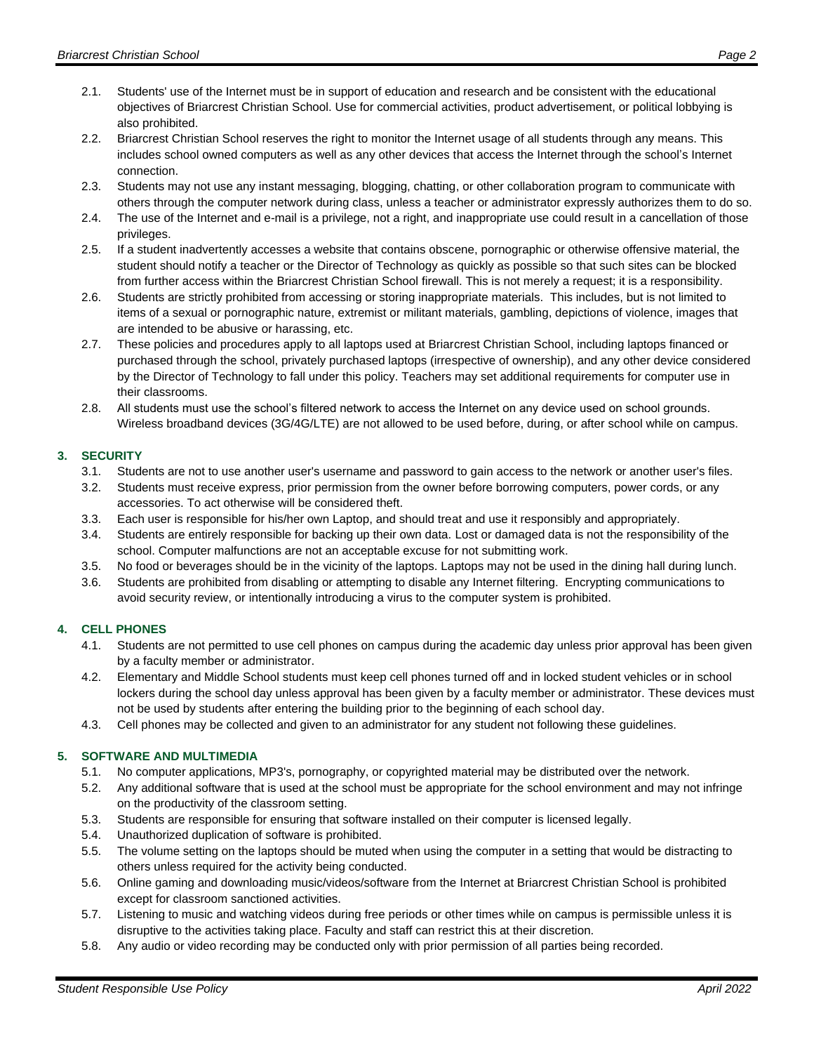- 2.1. Students' use of the Internet must be in support of education and research and be consistent with the educational objectives of Briarcrest Christian School. Use for commercial activities, product advertisement, or political lobbying is also prohibited.
- 2.2. Briarcrest Christian School reserves the right to monitor the Internet usage of all students through any means. This includes school owned computers as well as any other devices that access the Internet through the school's Internet connection.
- 2.3. Students may not use any instant messaging, blogging, chatting, or other collaboration program to communicate with others through the computer network during class, unless a teacher or administrator expressly authorizes them to do so.
- 2.4. The use of the Internet and e-mail is a privilege, not a right, and inappropriate use could result in a cancellation of those privileges.
- 2.5. If a student inadvertently accesses a website that contains obscene, pornographic or otherwise offensive material, the student should notify a teacher or the Director of Technology as quickly as possible so that such sites can be blocked from further access within the Briarcrest Christian School firewall. This is not merely a request; it is a responsibility.
- 2.6. Students are strictly prohibited from accessing or storing inappropriate materials. This includes, but is not limited to items of a sexual or pornographic nature, extremist or militant materials, gambling, depictions of violence, images that are intended to be abusive or harassing, etc.
- 2.7. These policies and procedures apply to all laptops used at Briarcrest Christian School, including laptops financed or purchased through the school, privately purchased laptops (irrespective of ownership), and any other device considered by the Director of Technology to fall under this policy. Teachers may set additional requirements for computer use in their classrooms.
- 2.8. All students must use the school's filtered network to access the Internet on any device used on school grounds. Wireless broadband devices (3G/4G/LTE) are not allowed to be used before, during, or after school while on campus.

# **3. SECURITY**

- 3.1. Students are not to use another user's username and password to gain access to the network or another user's files.
- 3.2. Students must receive express, prior permission from the owner before borrowing computers, power cords, or any accessories. To act otherwise will be considered theft.
- 3.3. Each user is responsible for his/her own Laptop, and should treat and use it responsibly and appropriately.
- 3.4. Students are entirely responsible for backing up their own data. Lost or damaged data is not the responsibility of the school. Computer malfunctions are not an acceptable excuse for not submitting work.
- 3.5. No food or beverages should be in the vicinity of the laptops. Laptops may not be used in the dining hall during lunch.
- 3.6. Students are prohibited from disabling or attempting to disable any Internet filtering. Encrypting communications to avoid security review, or intentionally introducing a virus to the computer system is prohibited.

# **4. CELL PHONES**

- 4.1. Students are not permitted to use cell phones on campus during the academic day unless prior approval has been given by a faculty member or administrator.
- 4.2. Elementary and Middle School students must keep cell phones turned off and in locked student vehicles or in school lockers during the school day unless approval has been given by a faculty member or administrator. These devices must not be used by students after entering the building prior to the beginning of each school day.
- 4.3. Cell phones may be collected and given to an administrator for any student not following these guidelines.

# **5. SOFTWARE AND MULTIMEDIA**

- 5.1. No computer applications, MP3's, pornography, or copyrighted material may be distributed over the network.
- 5.2. Any additional software that is used at the school must be appropriate for the school environment and may not infringe on the productivity of the classroom setting.
- 5.3. Students are responsible for ensuring that software installed on their computer is licensed legally.
- 5.4. Unauthorized duplication of software is prohibited.
- 5.5. The volume setting on the laptops should be muted when using the computer in a setting that would be distracting to others unless required for the activity being conducted.
- 5.6. Online gaming and downloading music/videos/software from the Internet at Briarcrest Christian School is prohibited except for classroom sanctioned activities.
- 5.7. Listening to music and watching videos during free periods or other times while on campus is permissible unless it is disruptive to the activities taking place. Faculty and staff can restrict this at their discretion.
- 5.8. Any audio or video recording may be conducted only with prior permission of all parties being recorded.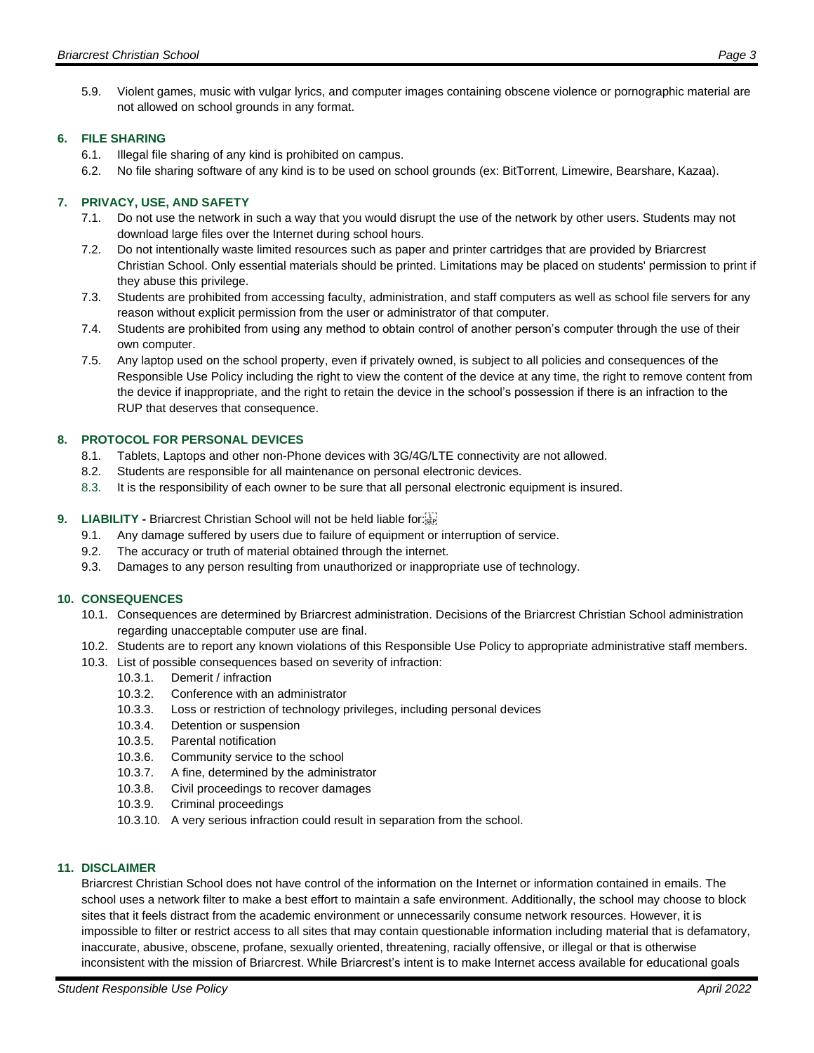5.9. Violent games, music with vulgar lyrics, and computer images containing obscene violence or pornographic material are not allowed on school grounds in any format.

## **6. FILE SHARING**

- 6.1. Illegal file sharing of any kind is prohibited on campus.
- 6.2. No file sharing software of any kind is to be used on school grounds (ex: BitTorrent, Limewire, Bearshare, Kazaa).

# **7. PRIVACY, USE, AND SAFETY**

- 7.1. Do not use the network in such a way that you would disrupt the use of the network by other users. Students may not download large files over the Internet during school hours.
- 7.2. Do not intentionally waste limited resources such as paper and printer cartridges that are provided by Briarcrest Christian School. Only essential materials should be printed. Limitations may be placed on students' permission to print if they abuse this privilege.
- 7.3. Students are prohibited from accessing faculty, administration, and staff computers as well as school file servers for any reason without explicit permission from the user or administrator of that computer.
- 7.4. Students are prohibited from using any method to obtain control of another person's computer through the use of their own computer.
- 7.5. Any laptop used on the school property, even if privately owned, is subject to all policies and consequences of the Responsible Use Policy including the right to view the content of the device at any time, the right to remove content from the device if inappropriate, and the right to retain the device in the school's possession if there is an infraction to the RUP that deserves that consequence.

### **8. PROTOCOL FOR PERSONAL DEVICES**

- 8.1. Tablets, Laptops and other non-Phone devices with 3G/4G/LTE connectivity are not allowed.
- 8.2. Students are responsible for all maintenance on personal electronic devices.
- 8.3. It is the responsibility of each owner to be sure that all personal electronic equipment is insured.

### **9. LIABILITY - Briarcrest Christian School will not be held liable for: SEP!**

- 9.1. Any damage suffered by users due to failure of equipment or interruption of service.
- 9.2. The accuracy or truth of material obtained through the internet.
- 9.3. Damages to any person resulting from unauthorized or inappropriate use of technology.

# **10. CONSEQUENCES**

- 10.1. Consequences are determined by Briarcrest administration. Decisions of the Briarcrest Christian School administration regarding unacceptable computer use are final.
- 10.2. Students are to report any known violations of this Responsible Use Policy to appropriate administrative staff members.
- 10.3. List of possible consequences based on severity of infraction:
	- 10.3.1. Demerit / infraction
	- 10.3.2. Conference with an administrator
	- 10.3.3. Loss or restriction of technology privileges, including personal devices
	- 10.3.4. Detention or suspension
	- 10.3.5. Parental notification
	- 10.3.6. Community service to the school
	- 10.3.7. A fine, determined by the administrator
	- 10.3.8. Civil proceedings to recover damages
	- 10.3.9. Criminal proceedings
	- 10.3.10. A very serious infraction could result in separation from the school.

#### **11. DISCLAIMER**

Briarcrest Christian School does not have control of the information on the Internet or information contained in emails. The school uses a network filter to make a best effort to maintain a safe environment. Additionally, the school may choose to block sites that it feels distract from the academic environment or unnecessarily consume network resources. However, it is impossible to filter or restrict access to all sites that may contain questionable information including material that is defamatory, inaccurate, abusive, obscene, profane, sexually oriented, threatening, racially offensive, or illegal or that is otherwise inconsistent with the mission of Briarcrest. While Briarcrest's intent is to make Internet access available for educational goals